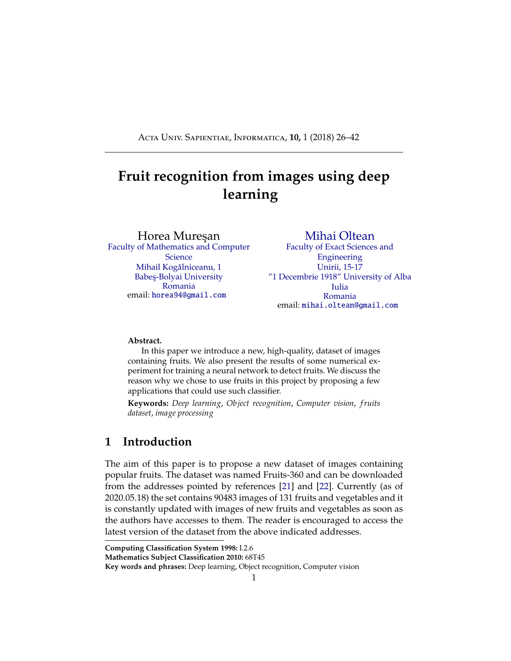<span id="page-0-0"></span>Acta Univ. Sapientiae, Informatica, **10,** 1 (2018) 26–42

# **Fruit recognition from images using deep learning**

Horea Mureşan

[Faculty of Mathematics and Computer](http://www.cs.ubbcluj.ro/) **[Science](http://www.cs.ubbcluj.ro/)** Mihail Kogălniceanu, 1 Babes-Bolyai University [Romania](http://www.cs.ubbcluj.ro/) email: [horea94@gmail.com](mailto:horea94@gmail.com)

[Mihai Oltean](https://mihaioltean.github.io/) [Faculty of Exact Sciences and](http://stiinteexacte.uab.ro/) [Engineering](http://stiinteexacte.uab.ro/) [Unirii, 15-17](http://stiinteexacte.uab.ro/) ["1 Decembrie 1918" University of Alba](http://stiinteexacte.uab.ro/) [Iulia](http://stiinteexacte.uab.ro/) [Romania](http://stiinteexacte.uab.ro/) email: [mihai.oltean@gmail.com](mailto:mihai.oltean@gmail.com)

#### **Abstract.**

In this paper we introduce a new, high-quality, dataset of images containing fruits. We also present the results of some numerical experiment for training a neural network to detect fruits. We discuss the reason why we chose to use fruits in this project by proposing a few applications that could use such classifier.

**Keywords:** *Deep learning*, *Object recognition*, *Computer vision*, *f ruits dataset*, *image processing*

# **1 Introduction**

The aim of this paper is to propose a new dataset of images containing popular fruits. The dataset was named Fruits-360 and can be downloaded from the addresses pointed by references [\[21\]](#page-36-0) and [\[22\]](#page-36-1). Currently (as of 2020.05.18) the set contains 90483 images of 131 fruits and vegetables and it is constantly updated with images of new fruits and vegetables as soon as the authors have accesses to them. The reader is encouraged to access the latest version of the dataset from the above indicated addresses.

**Computing Classification System 1998:** I.2.6

**Mathematics Subject Classification 2010:** 68T45

**Key words and phrases:** Deep learning, Object recognition, Computer vision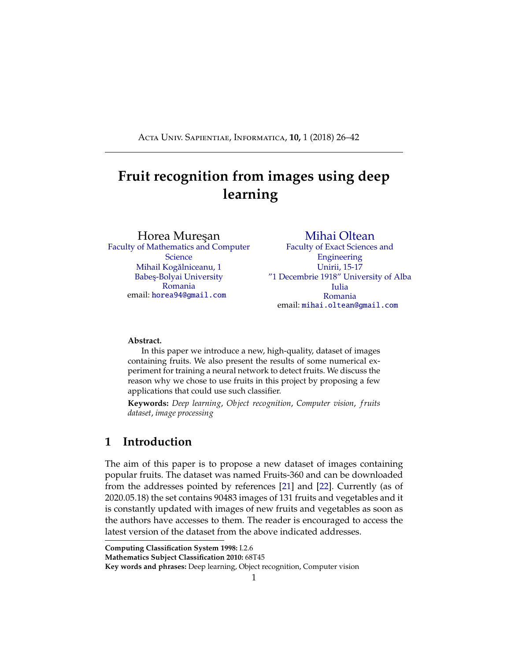<span id="page-1-0"></span>Having a high-quality dataset is essential for obtaining a good classifier. Most of the existing datasets with images (see for instance the popular CIFAR dataset [\[13\]](#page-36-2)) contain both the object and the noisy background. This could lead to cases where changing the background will lead to the incorrect classification of the object.

As a second objective we have trained a deep neural network that is capable of identifying fruits from images. This is part of a more complex project that has the target of obtaining a classifier that can identify a much wider array of objects from images. This fits the current trend of companies working in the augmented reality field. During its annual I/O conference, Google announced [\[20\]](#page-36-3) that is working on an application named Google Lens which will tell the user many useful information about the object toward which the phone camera is pointing. First step in creating such application is to correctly identify the objects. The software has been released later in 2017 as a feature of Google Assistant and Google Photos apps. Currently the identification of objects is based on a deep neural network [\[36\]](#page-37-0).

Such a network would have numerous applications across multiple domains like autonomous navigation, modeling objects, controlling processes or human-robot interactions. The area we are most interested in is creating an autonomous robot that can perform more complex tasks than a regular industrial robot. An example of this is a robot that can perform inspections on the aisles of stores in order to identify out of place items or under-stocked shelves. Furthermore, this robot could be enhanced to be able to interact with the products so that it can solve the problems on its own. Another area in which this research can provide benefits is autonomous fruit harvesting. While there are several papers on this topic already, from the best of our knowledge, they focus on few species of fruits or vegetables. In this paper we attempt to create a network that can classify a variety of species of fruit, thus making it useful in many more scenarios.

As the start of this project we chose the task of identifying fruits for several reasons. On one side, fruits have certain categories that are hard to di erentiate, like the citrus genus, that contains oranges and grapefruits. Thus we want to see how well can an artificial intelligence complete the task of classifying them. Another reason is that fruits are very often found in stores, so they serve as a good starting point for the previously mentioned project.

The paper is structured as follows: in the first part we will shortly discuss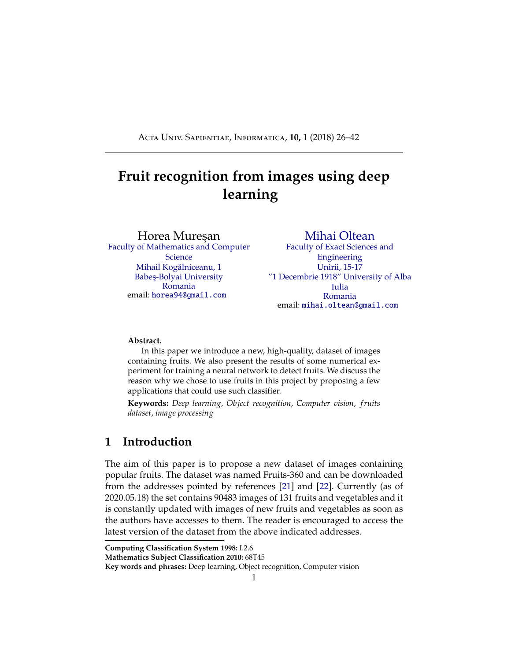<span id="page-2-0"></span>a few outstanding achievements obtained using deep learning for fruits recognition, followed by a presentation of the concept of deep learning. In the second part we describe the Fruits-360 dataset: how it was created and what it contains. In the third part we will present the framework used in this project - TensorFlow[\[33\]](#page-37-1) and the reasons we chose it. Following the framework presentation, we will detail the structure of the neural network that we used. We also describe the training and testing data used as well as the obtained performance. Finally, we will conclude with a few plans on how to improve the results of this project. Source code is listed in the Appendix.

### **2 Related work**

In this section we review several previous attempts to use neural networks and deep learning for fruits recognition.

A method for recognizing and counting fruits from images in cluttered greenhouses is presented in [\[29\]](#page-37-2). The targeted plants are peppers with fruits of complex shapes and varying colors similar to the plant canopy. The aim of the application is to locate and count green and red pepper fruits on large, dense pepper plants growing in a greenhouse. The training and validation data used in this paper consists of 28000 images of over 1000 plants and their fruits. The used method to locate and count the peppers is two-step: in the first step, the fruits are located in a single image and in a second step multiple views are combined to increase the detection rate of the fruits. The approach to find the pepper fruits in a single image is based on a combination of (1) finding points of interest, (2) applying a complex high-dimensional feature descriptor of a patch around the point of interest and (3) using a so-called bag-of-words for classifying the patch.

Paper [\[26\]](#page-37-3) presents a novel approach for detecting fruits from images using deep neural networks. For this purpose the authors adapt a Faster Region-based convolutional network. The objective is to create a neural network that would be used by autonomous robots that can harvest fruits. The network is trained using RGB and NIR (near infra red) images. The combination of the RGB and NIR models is done in 2 separate cases: early and late fusion. Early fusion implies that the input layer has 4 channels: 3 for the RGB image and one for the NIR image. Late fusion uses 2 independently trained models that are merged by obtaining predictions from both models and averaging the results. The result is a multi modal network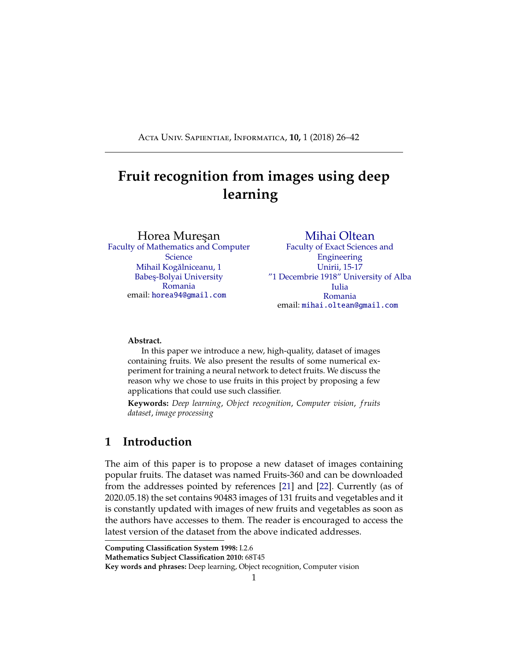<span id="page-3-0"></span>which obtains much better performance than the existing networks.

On the topic of autonomous robots used for harvesting, paper [\[1\]](#page-35-0) shows a network trained to recognize fruits in an orchard. This is a particularly difficult task because in order to optimize operations, images that span many fruit trees must be used. In such images, the amount of fruits can be large, in the case of almonds up to 1500 fruits per image. Also, because the images are taken outside, there is a lot of variance in luminosity, fruit size, clustering and view point. Like in paper [\[26\]](#page-37-3), this project makes use of the Faster Region-based convolutional network, which is presented in a detailed view in paper [\[25\]](#page-36-4). Related to the automatic harvest of fruits, article [\[23\]](#page-36-5) presents a method of detecting ripe strawberries and apples from orchards. The paper also highlights existing methods and their performance.

In [\[11\]](#page-35-1) the authors compile a list of the available state of the art methods for harvesting with the aid of robots. They also analyze the method and propose ways to improve them.

In [\[2\]](#page-35-2) one can see a method of generating synthetic images that are highly similar to empirical images. Specifically, this paper introduces a method for the generation of large-scale semantic segmentation datasets on a plant-part level of realistic agriculture scenes, including automated per-pixel class and depth labeling. One purpose of such synthetic dataset would be to bootstrap or pre-train computer vision models, which are finetuned thereafter on a smaller empirical image dataset. Similarly, in paper [\[24\]](#page-36-6) we can see a network trained on synthetic images that can count the number of fruits in images without actually detecting where they are in the image.

Another paper, [\[4\]](#page-35-3), uses two back propagation neural networks trained on images with apple "Gala" variety trees in order to predict the yield for the upcoming season. For this task, four features have been extracted from images: total cross-sectional area of fruits, fruit number, total cross-section area of small fruits, and cross-sectional area of foliage.

Paper [\[10\]](#page-35-4) presents an analysis of fruit detectability in relation to the angle of the camera when the image was taken. Based on this research, it was concluded that the fruit detectability was the highest on front views and looking with a zenith angle of 60 upwards.

In papers [\[28,](#page-37-4) [38,](#page-37-5) [16\]](#page-36-7) we can see an approach to detecting fruits based on color, shape and texture. They highlight the di culty of correctly classifying similar fruits of di erent species. They propose combining existing methods using the texture, shape and color of fruits to detect regions of interest from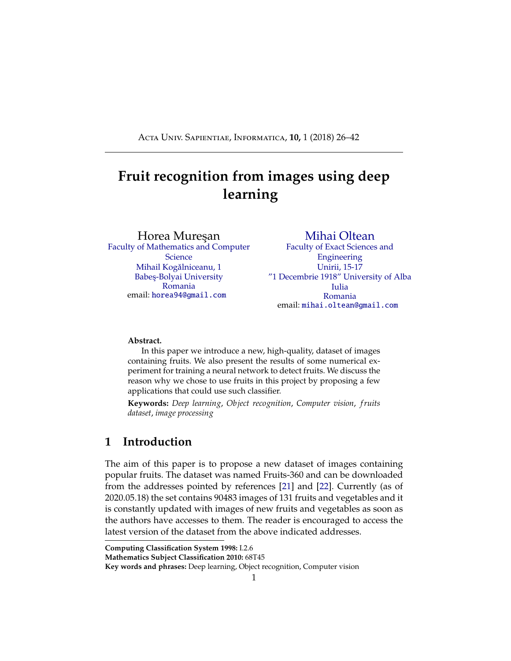<span id="page-4-0"></span>images. Similarly, in [\[19\]](#page-36-8) a method combining shape, size and color, texture of the fruits together with a k nearest neighbor algorithm is used to increase the accuracy of recognition.

One of the most recent works [\[37\]](#page-37-6) presents an algorithm based on the improved ChanVese level-set model [\[3\]](#page-35-5) and combined with the level-set idea andM-S mode [\[18\]](#page-36-9). The proposed goal was to conduct night-time green grape detection. Combining the principle of the minimum circumscribed rectangle of fruit and the method of Hough straight-line detection, the picking point of the fruit stem was calculated.

# **3 Deep learning**

In the area of image recognition and classification, the most successful results were obtained using artificial neural networks [\[6,](#page-35-6) [31\]](#page-37-7). These networks form the basis for most deep learning models.

Deep learning is a class of machine learning algorithms that use multiple layers that contain nonlinear processing units [\[27\]](#page-37-8). Each level learns to transform its input data into a slightly more abstract and composite representation [\[6\]](#page-35-6). Deep neural networks have managed to outperform other machine learning algorithms. They also achieved the first superhuman pattern recognition in certain domains [\[5\]](#page-35-7). This is further reinforced by the fact that deep learning is considered as an important step towards obtaining Strong AI. Secondly, deep neural networks - specifically convolutional neural networks - have been proved to obtain great results in the field of image recognition.

In the rest of this section we will briefly describe some models of deep artificial neural networks along with some results for some related problems.

#### **3.1 Convolutional neural networks**

Convolutional neural networks (CNN) are part of the deep learning models. Such a network can be composed of convolutional layers, pooling layers, ReLU layers, fully connected layers and loss layers [\[35\]](#page-37-9). In a typical CNN architecture, each convolutional layer is followed by a Rectified Linear Unit (ReLU) layer, then a Pooling layer then one or more convolutional layer and finally one or more fully connected layer. A characteristic that sets apart the CNN from a regular neural network is taking into account the structure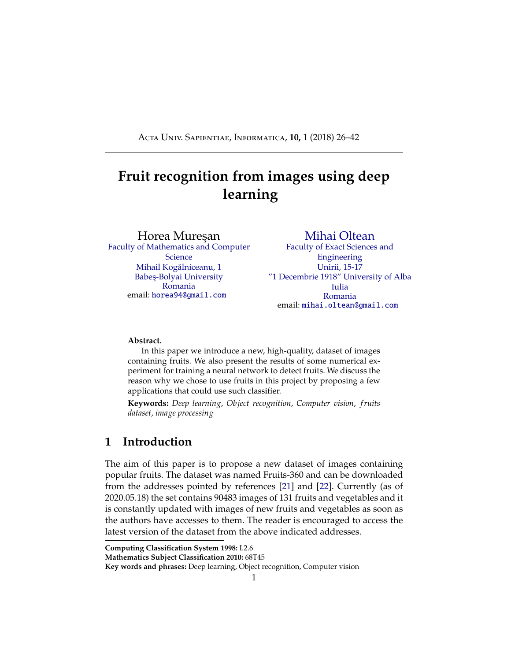<span id="page-5-0"></span>of the images while processing them. Note that a regular neural network converts the input in a one dimensional array which makes the trained classifier less sensitive to positional changes.

Among the best results obtained on the MNIST [\[14\]](#page-36-10) dataset is done by using multi-column deep neural networks. As described in paper [\[7\]](#page-35-8), they use multiple maps per layer with many layers of non-linear neurons. Even if the complexity of such networks makes them harder to train, by using graphical processors and special code written for them. The structure of the network uses winner-take-all neurons with max pooling that determine the winner neurons.

Another paper [\[17\]](#page-36-11) further reinforces the idea that convolutional networks have obtained better accuracy in the domain of computer vision. In paper [\[30\]](#page-37-10) an all convolutional network that gains very good performance on CIFAR-10 [\[13\]](#page-36-2) is described in detail. The paper proposes the replacement of pooling and fully connected layers with equivalent convolutional ones. This may increase the number of parameters and adds inter-feature dependencies however it can be mitigated by using smaller convolutional layers within the network and acts as a form of regularization.

In what follows we will describe each of the layers of a CNN network.

#### **3.1.1 Convolutional layers**

Convolutional layers are named after the convolution operation. In mathematics convolution is an operation on two functions that produces a third function that is the modified (convoluted) version of one of the original functions. The resulting function gives in integral of the pointwise multiplication of the two functions as a function of the amount that one of the original functions is translated [\[34\]](#page-37-11).

A convolutional layer consists of groups of neurons that make up kernels. The kernels have a small size but they always have the same depth as the input. The neurons from a kernel are connected to a small region of the input, called the receptive field, because it is highly ine cient to link all neurons to all previous outputs in the case of inputs of high dimensions such as images. For example, a  $100 \times 100$  image has  $10000$  pixels and if the first layer has 100 neurons, it would result in 1000000 parameters. Instead of each neuron having weights for the full dimension of the input, a neuron holds weights for the dimension of the kernel input. The kernels slide across the width and height of the input, extract high level features and produce a 2 dimensional activation map. The stride at which a kernel slides is given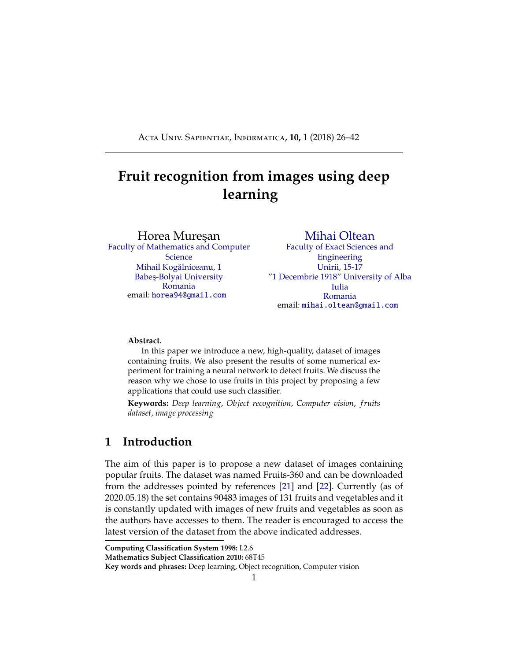as a parameter. The output of a convolutional layer is made by stacking the resulted activation maps which in turned is used to define the input of the next layer.

Applying a convolutional layer over an image of size 32 X 32 results in an activation map of size 28 X 28. If we apply more convolutional layers, the size will be further reduced, and, as a result the image size is drastically reduced which produces loss of information and the vanishing gradient problem. To correct this, we use padding. Padding increases the size of a input data by filling constants around input data. In most of the cases, this constant is zero so the operation is named zero padding. "Same" padding means that the output feature map has the same spatial dimensions as the input feature map. This tries to pad evenly left and right, but if the number of columns to be added is odd, it will add an extra column to the right. "Valid" padding is equivalent to no padding.

The strides causes a kernel to skip over pixels in an image and not include them in the output. The strides determines how a convolution operation works with a kernel when a larger image and more complex kernel are used. As a kernel is sliding the input, it is using the strides parameter to determine how many positions to skip.

ReLU layer, or Rectified Linear Units layer, applies the activation function  $max(0, x)$ . It does not reduce the size of the network, but it increases its nonlinear properties.

#### **3.1.2 Pooling layers**

Pooling layers are used on one hand to reduce the spatial dimensions of the representation and to reduce the amount of computation done in the network. The other use of pooling layers is to control overfitting. The most used pooling layer has filters of size  $2 \times 2$  with a stride 2. This e ectively reduces the input to a quarter of its original size.

#### **3.1.3 Fully connected layers**

Fully connected layers are layers from a regular neural network. Each neuron from a fully connected layer is linked to each output of the previous layer. The operations behind a convolutional layer are the same as in a fully connected layer. Thus, it is possible to convert between the two.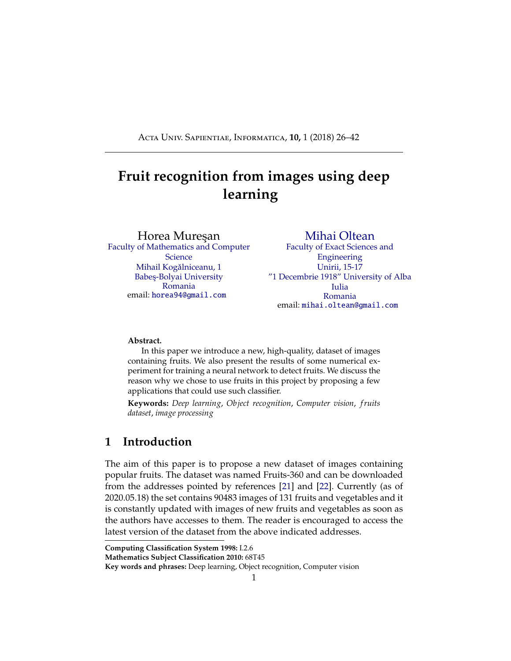#### <span id="page-7-0"></span>**3.1.4 Loss layers**

Loss layers are used to penalize the network for deviating from the expected output. This is normally the last layer of the network. Various loss function exist: softmax is used for predicting a class from multiple disjunct classes, sigmoid cross-entropy is used for predicting multiple independent probabilities (from the [0, 1] interval).

#### **3.2 Recurrent neural network**

Another deep learning algorithm is the recursive neural network [\[17\]](#page-36-11). The paper proposes an improvement to the popular convolutional network in the form of a recurrent convolutional network. In this kind of architecture the same set of weights is recursively applied over some data. Traditionally, recurrent networks have been used to process sequential data, handwriting or speech recognition being the most known examples. By using recurrent convolutional layers with some max pool layers in between them and a final global max pool layer at the end several advantages are obtained. Firstly, within a layer, every unit takes into account the state of units in an increasingly larger area around it. Secondly, by having recurrent layers, the depth of the network is increased without adding more parameters. Recurrent networks have shown good results in natural language processing.

#### **3.3 Deep belief network**

Yet another model that is part of the deep learning algorithms is the deep belief network [\[15\]](#page-36-12). A deep belief network is a probabilistic model composed by multiple layers of hidden units. The usages of a deep belief network are the same as the other presented networks but can also be used to pre-train a deep neural network in order to improve the initial values of the weights. This process is important because it can improve the quality of the network and can reduce training times. Deep belief networks can be combined with convolutional ones in order to obtain convolutional deep belief networks which exploit the advantages o ered by both types of architectures.

### **4 Fruits-360 data set**

In this section we describe how the data set was created and what it contains.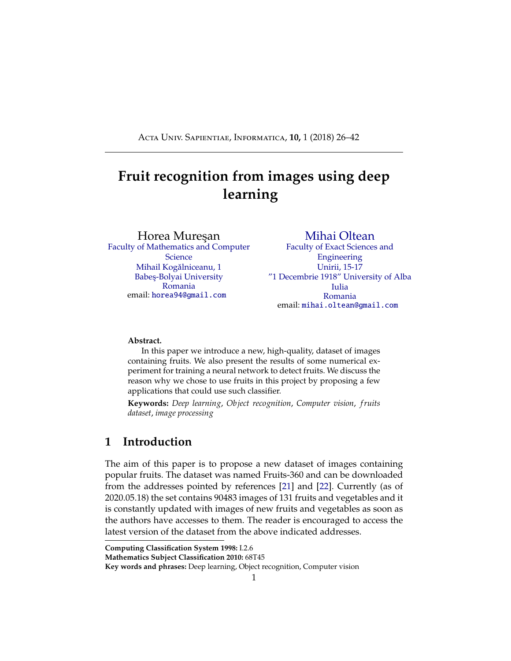The images were obtained by filming the fruits while they are rotated by a motor and then extracting frames.

Fruits were planted in the shaft of a low speed motor (3 rpm) and a short movie of 20 seconds was recorded. Behind the fruits we placed a white sheet of paper as background.



<span id="page-8-0"></span>Figure 1: Left-side: original image. Notice the background and the motor shaft. Right-side: the fruit after the background removal and after it was scaled down to 100x100 pixels.

However due to the variations in the lighting conditions, the background was not uniform and we wrote a dedicated algorithm which extract the fruit from the background. This algorithm is of flood fill type: we start from each edge of the image and we mark all pixels there, then we mark all pixels found in the neighborhood of the already marked pixels for which the distance between colors is less than a prescribed value. we repeat the previous step until no more pixels can be marked.

All marked pixels are considered as being background (which is then filled with white) and the rest of pixels are considered as belonging to the object. The maximum value for the distance between 2 neighbor pixels is a parameter of the algorithm and is set (by trial and error) for each movie.

Fruits were scaled to fit a 100x100 pixels image. Other datasets (like MNIST) use 28x28 images, but we feel that small size is detrimental when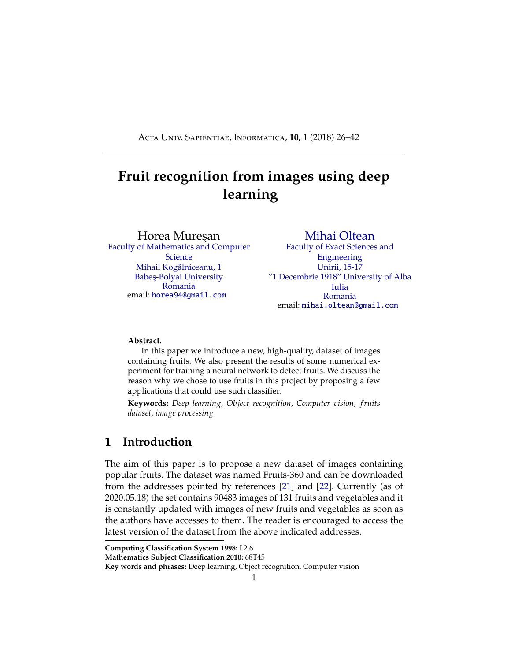<span id="page-9-1"></span>you have too similar objects (a red cherry looks very similar to a red apple in small images). Our future plan is to work with even larger images, but this will require much more longer training times.

To understand the complexity of background-removal process we have depicted in Figure [1](#page-8-0) a fruit with its original background and after the background was removed and the fruit was scaled down to 100 x 100 pixels.

The resulted dataset has 90380 images of fruits and vegetables spread across 131 labels. Each image contains a single fruit or vegetable. Separately, the dataset contains another 103 images of multiple fruits. The data set is available on GitHub [\[21\]](#page-36-0) and Kaggle [\[22\]](#page-36-1). The labels and the number of images for training are given in Table [1.](#page-9-0)

> <span id="page-9-0"></span>Table 1: Number of images for each fruit. There are multiple varieties of apples each of them being considered as a separate object. We did not find the scientific/popular name for each apple so we labeled with digits (e.g. apple red 1, apple red 2 etc).

| Label                      | Number of training images | Number of test images  |
|----------------------------|---------------------------|------------------------|
| Apple Braeburn             | 492                       | 164                    |
| Apple Crimson Snow         | 444                       | 148                    |
| Apple Golden 1             | 480                       | 160                    |
| Apple Golden 2             | 492                       | 164                    |
| Apple Golden 3             | 481                       | 161                    |
| <b>Apple Granny Smith</b>  | 492                       | 164                    |
| <b>Apple Pink Lady</b>     | 456                       | 152                    |
| Apple Red 1                | 492                       | 164                    |
| Apple Red 2                | 492                       | 164                    |
| Apple Red 3                | 429                       | 144                    |
| <b>Apple Red Delicious</b> | 490                       | 166                    |
| Apple Red Yellow 1         | 492                       | 164                    |
| Apple Red Yellow 2         | 672                       | 219                    |
| Apricot                    | 492                       | 164                    |
| Avocado                    | 427                       | 143                    |
| Avocado ripe               | 491                       | 166                    |
| Banana                     | 490                       | 166                    |
|                            |                           | Continued on next page |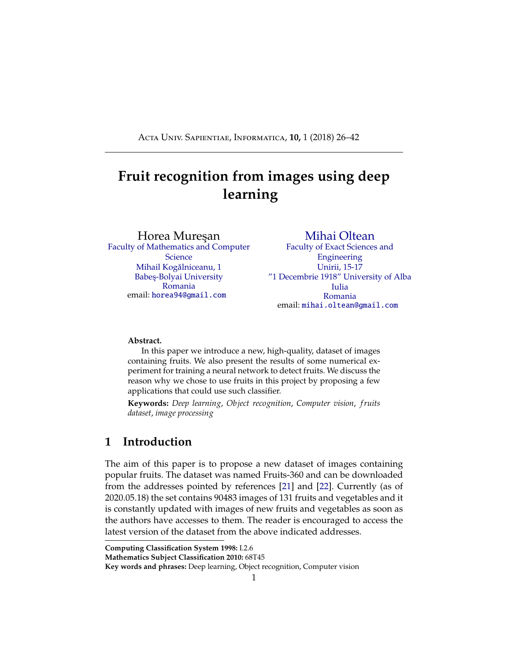| Label                     | Number of training images | Number of test images  |
|---------------------------|---------------------------|------------------------|
| <b>Banana Lady Finger</b> | 450                       | 152                    |
| Banana Red                | 490                       | 166                    |
| Beetroot                  | 450                       | 150                    |
| Blueberry                 | 462                       | 154                    |
| Cactus fruit              | 490                       | 166                    |
| Cantaloupe 1              | $\overline{492}$          | 164                    |
| Cantaloupe 2              | $\frac{492}{3}$           | 164                    |
| Carambula                 | 490                       | 166                    |
| Cauliflower               | $\overline{702}$          | 234                    |
| Cherry 1                  | 492                       | 164                    |
| Cherry 2                  | 738                       | 246                    |
| Cherry Rainier            | 738                       | 246                    |
| <b>Cherry Wax Black</b>   | 492                       | 164                    |
| Cherry Wax Red            | 492                       | 164                    |
| Cherry Wax Yellow         | 492                       | 164                    |
| Chestnut                  | 450                       | 153                    |
| Clementine                | 490                       | 166                    |
| Cocos                     | 490                       | 166                    |
| Corn                      | 450                       | 150                    |
| Corn Husk                 | 462                       | 154                    |
| Cucumber Ripe             | 392                       | 130                    |
| <b>Cucumber Ripe 2</b>    | 468                       | 156                    |
| Dates                     | 490                       | 166                    |
| Eggplant                  | 468                       | 156                    |
| Fig                       | $\overline{702}$          | 234                    |
| <b>Ginger Root</b>        | 297                       | 99                     |
| Granadilla                | 490                       | 166                    |
| Grape Blue                | 984                       | 328                    |
| Grape Pink                | 492                       | 164                    |
| Grape White               | 490                       | 166                    |
| <b>Grape White 2</b>      | 490                       | 166                    |
| Grape White 3             | 492                       | 164                    |
| <b>Grape White 4</b>      | 471                       | 158                    |
| Grapefruit Pink           | 490                       | 166                    |
|                           |                           | Continued on next page |

**Table 1 – continued from previous page**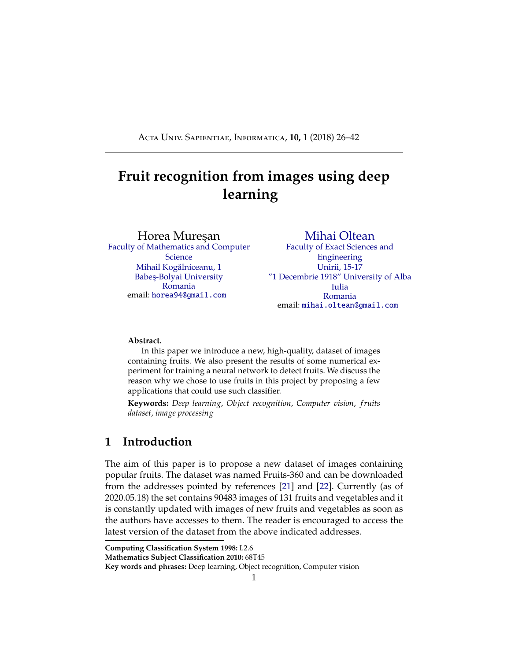| Label                   | Number of training images | Number of test images  |
|-------------------------|---------------------------|------------------------|
| <b>Grapefruit White</b> | 492                       | 164                    |
| Guava                   | 490                       | 166                    |
| Hazelnut                | 464                       | 157                    |
| Huckleberry             | 490                       | 166                    |
| Kaki                    | 490                       | 166                    |
| Kiwi                    | 466                       | 156                    |
| Kohlrabi                | 471                       | 157                    |
| Kumquats                | 490                       | 166                    |
| Lemon                   | 492                       | 164                    |
| Lemon Meyer             | 490                       | 166                    |
| Limes                   | 490                       | 166                    |
| Lychee                  | 490                       | 166                    |
| Mandarine               | 490                       | 166                    |
| Mango                   | 490                       | 166                    |
| Mango Red               | 426                       | 142                    |
| Mangostan               | 300                       | 102                    |
| Maracuja                | 490                       | 166                    |
| Melon Piel de Sapo      | 738                       | 246                    |
| Mulberry                | 492                       | 164                    |
| Nectarine               | 492                       | 164                    |
| Nectarine Flat          | 480                       | 160                    |
| <b>Nut Forest</b>       | 654                       | $\overline{218}$       |
| Nut Pecan               | $\overline{534}$          | 178                    |
| <b>Onion Red</b>        | 450                       | 150                    |
| <b>Onion Red Peeled</b> | 445                       | 155                    |
| <b>Onion White</b>      | 438                       | 146                    |
| Orange                  | 479                       | 160                    |
| Papaya                  | 492                       | 164                    |
| <b>Passion Fruit</b>    | 490                       | 166                    |
| Peach                   | 492                       | 164                    |
| Peach <sub>2</sub>      | 738                       | 246                    |
| Peach Flat              | 492                       | 164                    |
| Pear                    | 492                       | 164                    |
| Pear <sub>2</sub>       | 696                       | 232                    |
|                         |                           | Continued on next page |

**Table 1 – continued from previous page**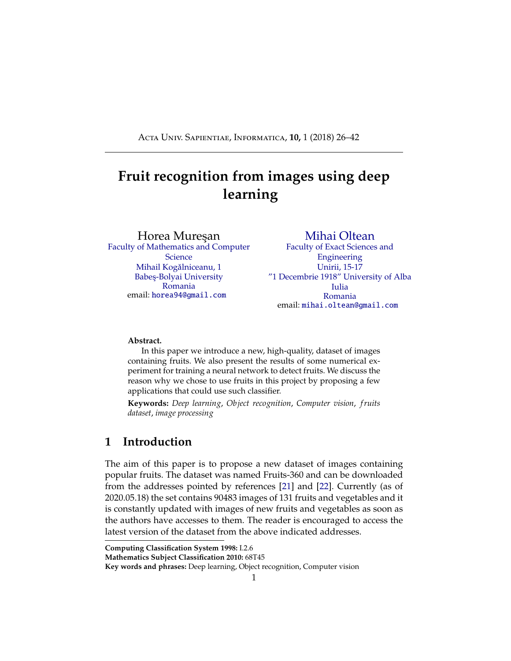| Label                   | $\cdots$ $\cdots$ $\cdots$ $\cdots$<br>Number of training images | Number of test images  |
|-------------------------|------------------------------------------------------------------|------------------------|
| Pear Abate              | 490                                                              | 166                    |
| Pear Forelle            | $\overline{702}$                                                 | 234                    |
| Pear Kaiser             | 300                                                              | $\overline{102}$       |
| Pear Monster            | 490                                                              | 166                    |
| Pear Red                | 666                                                              | 222                    |
| Pear Stone              | $\overline{711}$                                                 | 237                    |
| Pear Williams           | 490                                                              | 166                    |
| Pepino                  | 490                                                              | 166                    |
| Pepper Green            | 444                                                              | 148                    |
| Pepper Orange           | 702                                                              | 234                    |
| Pepper Red              | 666                                                              | $\overline{222}$       |
| Pepper Yellow           | 666                                                              | 222                    |
| Physalis                | 492                                                              | 164                    |
| Physalis with Husk      | 492                                                              | 164                    |
| Pineapple               | 490                                                              | 166                    |
| Pineapple Mini          | 493                                                              | $\overline{163}$       |
| Pitahaya Red            | 490                                                              | 166                    |
| Plum                    | 447                                                              | 151                    |
| Plum <sub>2</sub>       | 420                                                              | $\overline{142}$       |
| Plum <sub>3</sub>       | 900                                                              | $\overline{304}$       |
| Pomegranate             | 492                                                              | 164                    |
| <b>Pomelo Sweetie</b>   | 450                                                              | 153                    |
| Potato Red              | 450                                                              | 150                    |
| Potato Red Washed       | 453                                                              | 151                    |
| Potato Sweet            | 450                                                              | 150                    |
| Potato White            | 450                                                              | 150                    |
| Quince                  | 490                                                              | 166                    |
| Rambutan                | 492                                                              | 164                    |
| Raspberry               | 490                                                              | 166                    |
| Redcurrant              | 492                                                              | 164                    |
| <b>Salak</b>            | 490                                                              | $\overline{162}$       |
| Strawberry              | 492                                                              | 164                    |
| <b>Strawberry Wedge</b> | 738                                                              | $\overline{246}$       |
| Tamarillo               | 490                                                              | 166                    |
|                         |                                                                  | Continued on next page |

**Table 1 – continued from previous page**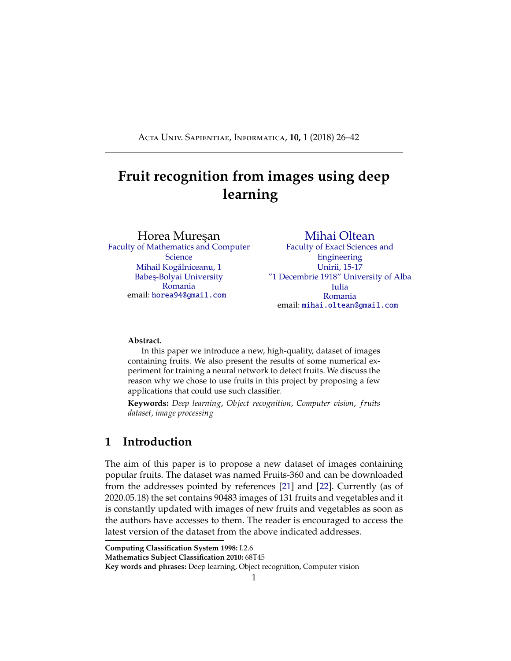| Label              | Number of training images | Number of test images |
|--------------------|---------------------------|-----------------------|
| Tangelo            | 490                       | 166                   |
| Tomato 1           | 738                       | 246                   |
| Tomato 2           | 672                       | 225                   |
| Tomato 3           | 738                       | 246                   |
| Tomato 4           | 479                       | 160                   |
| Tomato Cherry Red  | 492                       | 164                   |
| Tomato Heart       | 684                       | 228                   |
| Tomato Maroon      | 367                       | 127                   |
| Tomato not Ripened | 474                       | 158                   |
| Tomato Yellow      | 459                       | 153                   |
| Walnut             | 735                       | 249                   |
| Watermelon         | 475                       | 157                   |

**Table 1 – continued from previous page**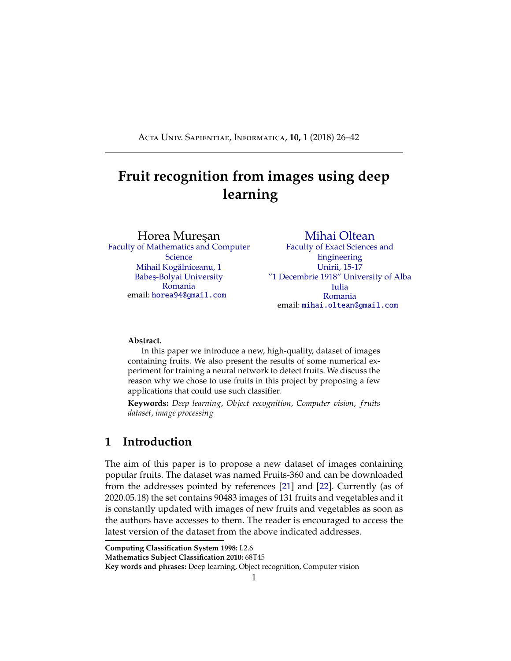# <span id="page-14-0"></span>**5 TensorFlow library**

For the purpose of implementing, training and testing the network described in this paper we used the TensorFlow library [\[33\]](#page-37-1). This is an open source framework for machine learning created by Google for numerical computation using data flow graphs. Nodes in the graph represent mathematical operations, while the graph edges represent the multidimensional data arrays called tensors.

The main components in a TensorFlow system are the client, which uses the Session interface to communicate with the master, and one or more worker processes, with each worker process responsible for arbitrating access to one or more computational devices (such as CPU cores or GPU cards) and for executing graph nodes on those devices as instructed by the master.

TensorFlow o ers some powerful features such as: it allows computation mapping to multiple machines, unlike most other similar frameworks; it has built in support for automatic gradient computation; it can partially execute subgraphs of the entire graph and it can add constraints to devices, like placing nodes on devices of a certain type, ensure that two or more objects are placed in the same space etc.

Starting with version 2.0, TensorFlow includes the features of the Keras framework[\[12\]](#page-36-13). Keras provides wrappers over the operations implemented in TensorFlow, greatly simplifying calls, and reducing the overall amount of code required to train and test a model.

TensorFlow is used in several projects, such as the Inception Image Classification Model [\[32\]](#page-37-12). This project introduced a state of the art network for classification and detection in the ImageNet Large-Scale Visual Recognition Challenge 2014. In this project the usage of the computing resources is improved by adjusting the network width and depth while keeping the computational budget constant[\[32\]](#page-37-12).

Another project that employs the TensorFlow framework is DeepSpeech, developed by Mozilla. It is an open source Speech-To-Text engine based on Baidu's Deep Speech architecture [\[9\]](#page-35-9). The architecture is a state of the art recognition system developed using end-to-end deep learning. It is simpler that other architectures and does not need hand designed components for background noise, reverberation or speaker variation.

We will present the most important utilized methods and data types from TensorFlow together with a short description for each of them.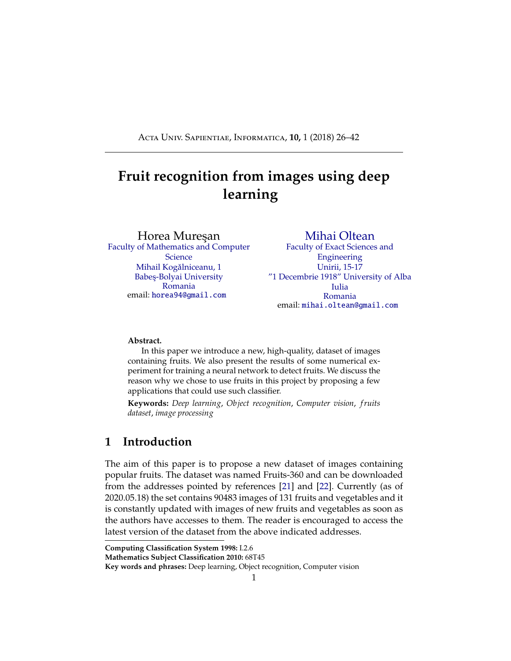A convolutional layer is defined like this:

```
1 Conv2D(
2 no_filters ,
3 filter_size ,
4 strides ,
5 padding ,
6 name=None
\frac{7}{2} )
```
Computes a 2D convolution over the input of shape [*batch, in height, in width, in channels*] and a kernel tensor of shape [*filter height, filter width*]. This op performs the following:

Flattens the filter to a 2-D matrix with shape [*filter height \* filter width \* in channels, output channels*].

Extracts image patches from the input tensor to form a virtual tensor of shape [*batch, out height, out width, filter height \* filter width \* in channels*].

For each patch, right-multiplies the filter matrix and the image patch vector.

If padding is set to "same", the input is 0-padded so that the output keeps the same height and width; else, if the padding is set to "valid", the input is not 0-padded, thus the output may be smaller across the width and height

```
1 MaxPooling2D(
2 filter_size ,
3 strides ,
4 padding ,
5 name=None
\begin{pmatrix} 6 & 1 \end{pmatrix}
```
Performs the max pooling operation on the input. *filter size*represents size of the window over which the max function is applied.*strides*represents the stride of the sliding window for each dimension of the input tensor. Similar to the Conv2D layer, the *padding* parameter can be "valid"' or "same".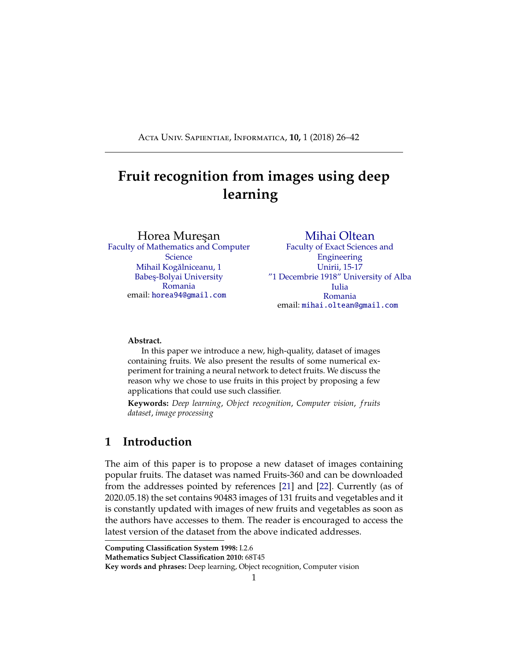```
1 Activation (
2 operation ,
3 name=None
4 )
```
Computes the specified activation function given by the *operation*. We are using in this project the rectified linear operation - max(features, 0).

```
1 Dropout (
2 prob.
3 name=None
4 )
```
Randomly sets input values to 0 with probability *prob*. The method scales the non zero values by 1 / *1 - prob* in order to preserve the sum of the elements.

# **6 The structure of the neural network used in experiments**

For this project we used a convolutional neural network. As previously described this type of network makes use of convolutional layers, pooling layers, ReLU layers, fully connected layers and loss layers. In a typical CNN architecture, each convolutional layer is followed by a Rectified Linear Unit (ReLU) layer, then a Pooling layer then one or more convolutional layer and finally one or more fully connected layer.

Note again that a characteristic that sets apart the CNN from a regular neural network is taking into account the structure of the images while processing them. A regular neural network converts the input in a one dimensional array which makes the trained classifier less sensitive to positional changes.

The input that we used consists of standard RGB images of size 100 x 100 pixels.

The neural network that we used in this project has the structure given in Table [2.](#page-17-0)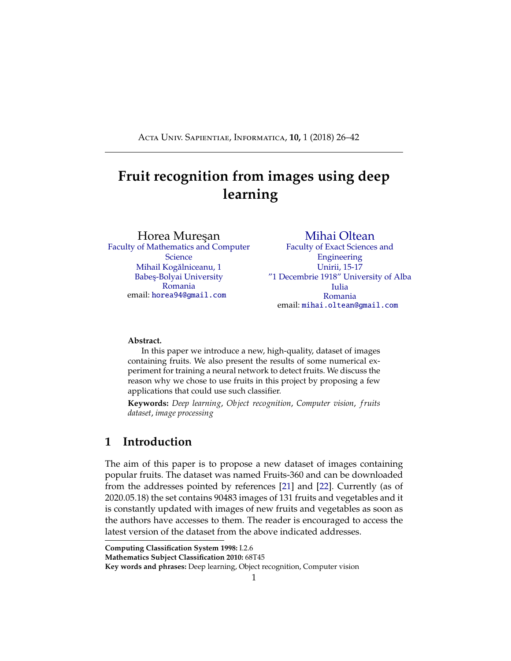| Layer type      | <b>Dimensions</b>        | Output |
|-----------------|--------------------------|--------|
| Convolutional   | $5 \times 5 \times 4$    | 16     |
| Max pooling     | $2 \times 2$ - Stride: 2 |        |
| Convolutional   | $5 \times 5 \times 16$   | 32     |
| Max pooling     | $2 \times 2$ - Stride: 2 |        |
| Convolutional   | $5 \times 5 \times 32$   | 64     |
| Max pooling     | $2 \times 2$ - Stride: 2 |        |
| Convolutional   | $5 \times 5 \times 64$   | 128    |
| Max pooling     | $2 \times 2$ - Stride: 2 |        |
| Fully connected | $5 \times 5 \times 128$  | 1024   |
| Fully connected | 1024                     | 256    |
| Softmax         | 256                      | 131    |

<span id="page-17-0"></span>Table 2: The structure of the neural network used in this paper.

A visual representation of the neural network used is given in Figure [2.](#page-18-0)

The first layer (Convolution #1) is a convolutional layer which applies 16  $5 \times 5$  filters. On this layer we apply max pooling with a filter of shape 2 x 2 with stride 2 which specifies that the pooled regions do not overlap (Max-Pool #1). This also reduces the width and height to 50 pixels each.

The second convolutional (Convolution #2) layer applies  $32.5 \times 5$ filters which outputs 32 activation maps. We apply on this layer the same kind of max pooling(Max-Pool #2) as on the first layer, shape 2 x 2 and stride 2.

The third convolutional (Convolution #3) layer applies  $64.5 \times 5$  filters. Following is another max pool layer(Max-Pool #3) of shape 2 x 2 and stride 2.

The fourth convolutional (Convolution #4) layer applies  $128.5 \times 5$ filters after which we apply a final max pool layer (Max-Pool #4).

Because of the four max pooling layers, the dimensions of the representation have each been reduced by a factor of 16, therefore the fifth layer, which is a fully connected layer(Fully Connected #1), has 7 x 7 x 16 inputs.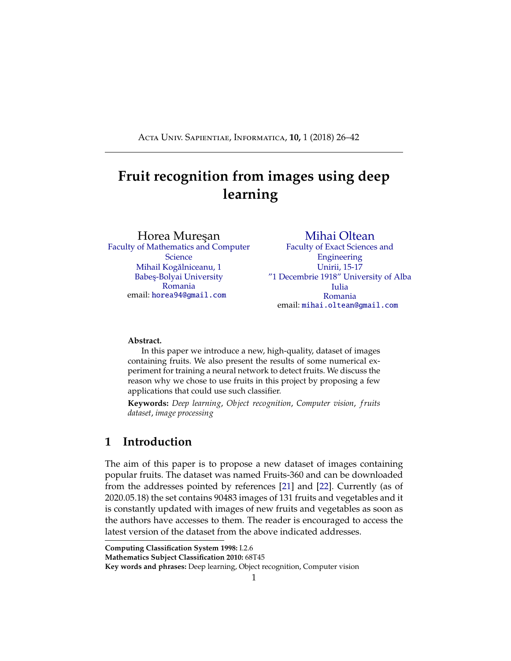<span id="page-18-0"></span>

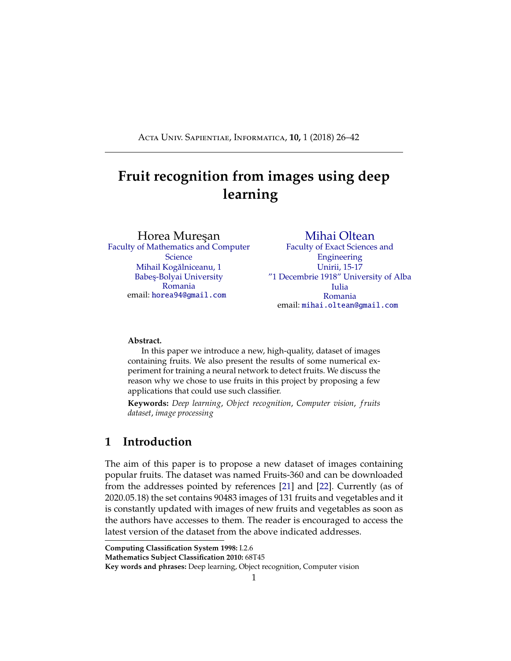This layer feeds into another fully connected layer (Fully Connected #2) with 1024 inputs and 256 outputs.

The last layer is a softmax loss layer (Softmax) with 256 inputs. The number of outputs is equal to the number of classes.

We present a short scheme containing the flow of the the training process:

```
1 epochs = 25
2
3 read_images(images)
4 apply_random_vertical_horizontal_flips(images)
5 apply_random_hue_saturation_changes(images)
     6 convert_to_hsv(images)
7 add_grayscale_layer(images)
8
9 define_network_structure(network)
10
11 for i in range(1, epochs):
12 train_network(network)
13 test_network(network)
```
# **7 Numerical experiments**

For the experiments we used the 90380 images split in 2 parts: training set - which consists of 67692 images of fruits and testing set - which is made of 22688 images. The other 103 images with multiple fruits were not used in the training and testing of the network.

Using an *ImageDataGenerator*, from the *tensor flow*.*keras*.*preprocessing*.*image* package, we provide randomized input to the network. This object manages the image loading, batch generation and can perform augmentation such as vertical and horizontal flips.

We ran multiple scenarios in which the neural network was trained using di erent levels of data augmentation and preprocessing:

convert the input RGB images to grayscale

keep the input images in the RGB colorspace

convert the input RGB images to the HSV colorspace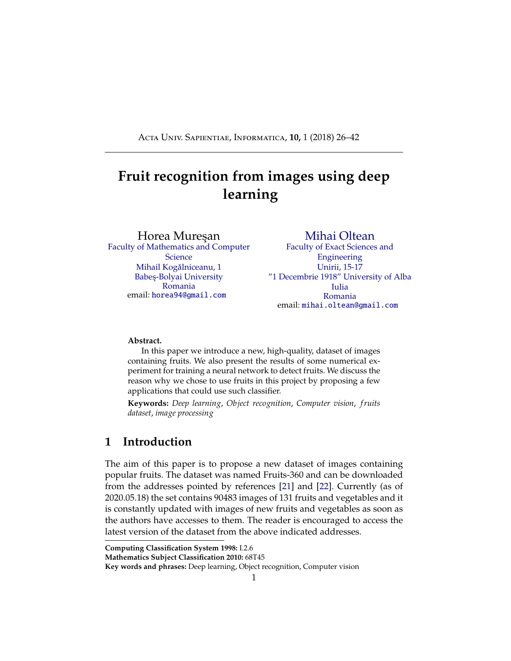convert the input RGB images to the HSV colorspace and to grayscale and merge them

apply random hue and saturation changes on the input RGB images, randomly flip them horizontally and vertically, then convert them to the HSV colorspace and to grayscale and merge them

For each scenario we used the previously described neural network which was trained for 25 epochs with batches of 50 images selected at random from the training set. Every epoch we calculated the accuracy using cross-validation. For testing we ran the trained network on the test set. The results for each case are presented in Table [3.](#page-20-0) All models achieved very high accuracy on the training dataset(99.98% or above). The model trained with only RGB images obtained the best performance on the test set. A potential explanation why the model trained on augmented data performed worse than the RGB one is that the training and test images were taken into identical lighting conditions and contain the same fruit. Thus, by augmenting the images, we are introducing variation in the training set that is not found in the test set. Conversely, training on the grayscale images produces a worse result because the conversion loses all features related to color. We further studied this problem by training and testing on just the apple classes of images. The results were similar, with high accuracy on the train data, but low accuracy on the test data.

| <b>Scenario</b>                  | <b>Accuracy on</b> | <b>Accuracy on</b> |
|----------------------------------|--------------------|--------------------|
|                                  | training set       | test set           |
| Grayscale                        | 100%               | 95.25%             |
| <b>RGB</b>                       | 100%               | 98.66%             |
| <b>HSV</b>                       | 99.99%             | 96.09%             |
| HSV + Grayscale                  | 99.99%             | 96.68%             |
| HSV + Grayscale + hue/saturation | 99.98%             | 96.44%             |
| $change + flips$                 |                    |                    |

<span id="page-20-0"></span>Table 3: Results of training the neural network on the fruits-360 dataset.

In order to determine the best network configuration for classifying the images in our dataset, we took multiple configurations, used the train set to train them and then calculated their accuracy on the test and training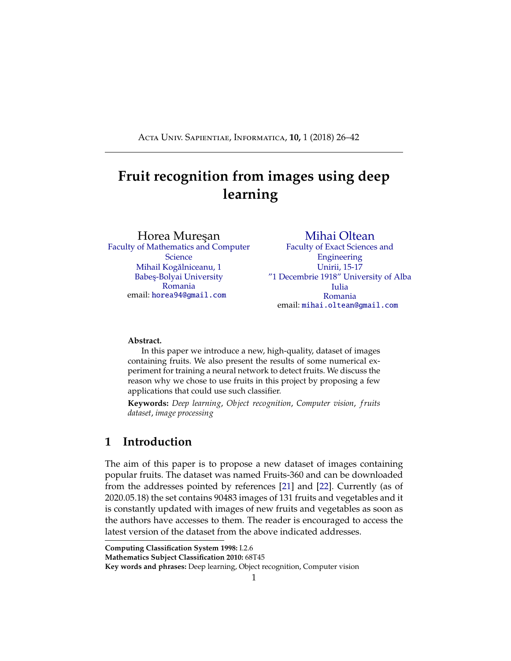<span id="page-21-0"></span>set. In Table [4](#page-21-0) we present the results.

Table 4: Results of training di erent network configurations on the fruits-360 dataset.

| Nr. | Configuration   |                          | Accuracy on | Accuracy     |             |
|-----|-----------------|--------------------------|-------------|--------------|-------------|
|     |                 |                          |             | training set | on test set |
|     | Convolutional   | $5 \times 5$             | 16          | 100%         | 98.66%      |
|     | Convolutional   | $5 \times 5$             | 32          |              |             |
| 1   | Convolutional   | $5 \times 5$             | 64          |              |             |
|     | Convolutional   | $5 \times 5$             | 128         |              |             |
|     | Fully connected |                          | 1024        |              |             |
|     | Fully connected | $\overline{a}$           | 256         |              |             |
| 2   | Convolutional   | $5 \times 5$             | 8           | 100%         | 98.34%      |
|     | Convolutional   | $5 \times 5$             | 32          |              |             |
|     | Convolutional   | $5 \times 5$             | 64          |              |             |
|     | Convolutional   | $5 \times 5$             | 128         |              |             |
|     | Fully connected |                          | 1024        |              |             |
|     | Fully connected | $\overline{\phantom{a}}$ | 256         |              |             |
|     | Convolutional   | $5 \times 5$             | 32          | 100%         | 98.41%      |
|     | Convolutional   | $5 \times 5$             | 32          |              |             |
| 3   | Convolutional   | $5 \times 5$             | 64          |              |             |
|     | Convolutional   | $5 \times 5$             | 128         |              |             |
|     | Fully connected |                          | 1024        |              |             |
|     | Fully connected |                          | 256         |              |             |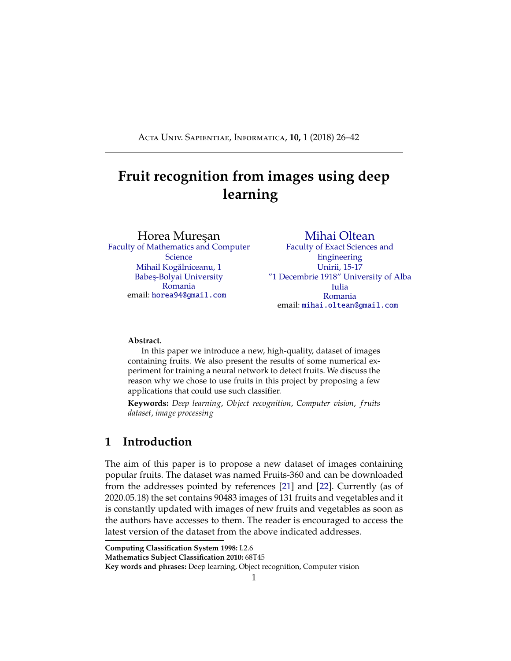| Nr.            | Configuration   |                         | <b>Accuracy on</b> | Accuracy     |             |
|----------------|-----------------|-------------------------|--------------------|--------------|-------------|
|                |                 |                         |                    | training set | on test set |
| $\overline{4}$ | Convolutional   | $5 \overline{\times 5}$ | 16                 | 100%         | 98.35%      |
|                | Convolutional   | $\overline{5\times 5}$  | $\overline{16}$    |              |             |
|                | Convolutional   | $\overline{5\times 5}$  | $\overline{64}$    |              |             |
|                | Convolutional   | 5x5                     | 128                |              |             |
|                | Fully connected |                         | 1024               |              |             |
|                | Fully connected |                         | 256                |              |             |
|                | Convolutional   | 5x5                     | $\overline{16}$    |              |             |
|                | Convolutional   | $\overline{5\times 5}$  | $\overline{64}$    |              |             |
| 5              | Convolutional   | $\overline{5\times 5}$  | $\overline{64}$    | 100%         | 98.53%      |
|                | Convolutional   | $\overline{5\times 5}$  | 128                |              |             |
|                | Fully connected |                         | 1024               |              |             |
|                | Fully connected |                         | 256                |              |             |
| 6              | Convolutional   | 5x5                     | 16                 | 100%         | 97.92%      |
|                | Convolutional   | $\overline{5\times 5}$  | $\overline{32}$    |              |             |
|                | Convolutional   | $\overline{5\times 5}$  | $\overline{32}$    |              |             |
|                | Convolutional   | $\overline{5\times 5}$  | 128                |              |             |
|                | Fully connected |                         | 1024               |              |             |
|                | Fully connected |                         | 256                |              |             |
|                | Convolutional   | $\overline{5} \times 5$ | $\overline{16}$    |              |             |
|                | Convolutional   | $\overline{5x5}$        | $\overline{32}$    |              | 97.84%      |
| 7              | Convolutional   | $5 \times 5$            | $\overline{128}$   | 100%         |             |
|                | Convolutional   | $\overline{5\times 5}$  | 128                |              |             |
|                | Fully connected |                         | 1024               |              |             |
|                | Fully connected |                         | 256                |              |             |
| 8              | Convolutional   | $5 \times 5$            | $\overline{16}$    |              | 97.95%      |
|                | Convolutional   | 5x5                     | 32                 | 100%         |             |
|                | Convolutional   | $\overline{5\times 5}$  | $\overline{64}$    |              |             |
|                | Convolutional   | $5 \times 5$            | $\overline{64}$    |              |             |
|                | Fully connected |                         | 1024               |              |             |
|                | Fully connected |                         | 256                |              |             |

Table 4: Results of training di erent network configurations on the fruits-360 dataset.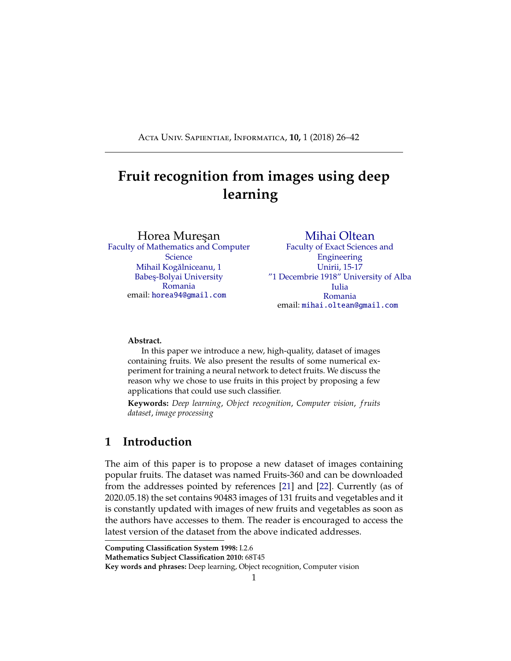| Nr. | Configuration   |              |      | Accuracy on  | Accuracy    |
|-----|-----------------|--------------|------|--------------|-------------|
|     |                 |              |      | training set | on test set |
|     | Convolutional   | $5 \times 5$ | 16   |              | 98.17%      |
|     | Convolutional   | $5 \times 5$ | 32   |              |             |
| 9   | Convolutional   | $5 \times 5$ | 64   | 100%         |             |
|     | Convolutional   | $5 \times 5$ | 128  |              |             |
|     | Fully connected |              | 512  |              |             |
|     | Fully connected |              | 256  |              |             |
|     | Convolutional   | $5 \times 5$ | 16   | 100%         | 98.25%      |
|     | Convolutional   | 5x5          | 32   |              |             |
| 10  | Convolutional   | $5 \times 5$ | 64   |              |             |
|     | Convolutional   | $5 \times 5$ | 128  |              |             |
|     | Fully connected |              | 1024 |              |             |
|     | Fully connected |              | 512  |              |             |

Table 4: Results of training di erent network configurations on the fruits-360 dataset.

From Table [4](#page-21-0) we can see that all the tested configurations obtained perfect accuracy over the training dataset. On the test dataset, the models' performance varied slightly, with configuration nr. 1 achieving the best accuracy. Configurations nr. 6, 7 and 8 were the only ones to achieve an accuracy below 98%.

The evolution of accuracy and loss during training is given in Figure [3.](#page-23-0) It can be seen that the training rapidly improves over the first 5 epochs (accuracy becomes greater than 90%). Afterwards, the improvements are small for the rest of the epochs.



<span id="page-23-0"></span>Figure 3: Accuracy and loss evolution over 25 training epochs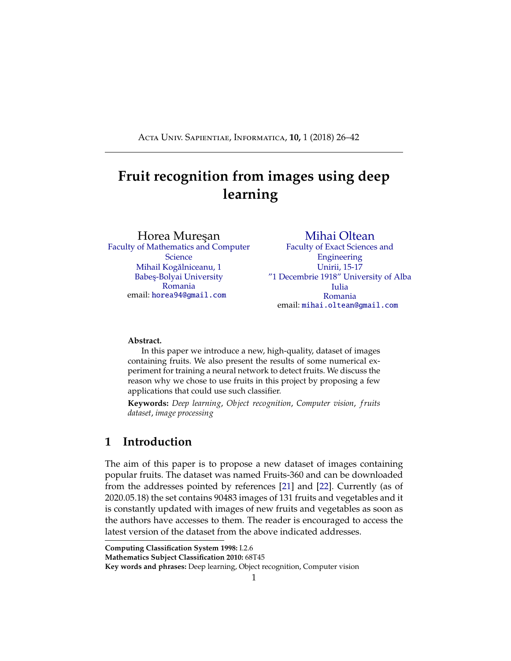<span id="page-24-0"></span>Some of the incorrectly classified images are given in Table [5.](#page-24-0)

Table 5: Some of the images that were classified incorrectly. On the top we have the correct class of the fruit and on the bottom we have the class (and its associated probability) that was assigned by the network.



# **8 Conclusions and further work**

We described a new and complex database of images with fruits. Also we made some numerical experiments by using TensorFlow library in order to classify the images according to their content.

From our point of view one of the main objectives for the future is to improve the accuracy of the neural network. This involves further experimenting with the structure of the network. Various tweaks and changes to any layers as well as the introduction of new layers can provide completely di erent results. Another option is to replace all layers with convolutional layers. This has been shown to provide some improvement over the networks that have fully connected layers in their structure. A consequence of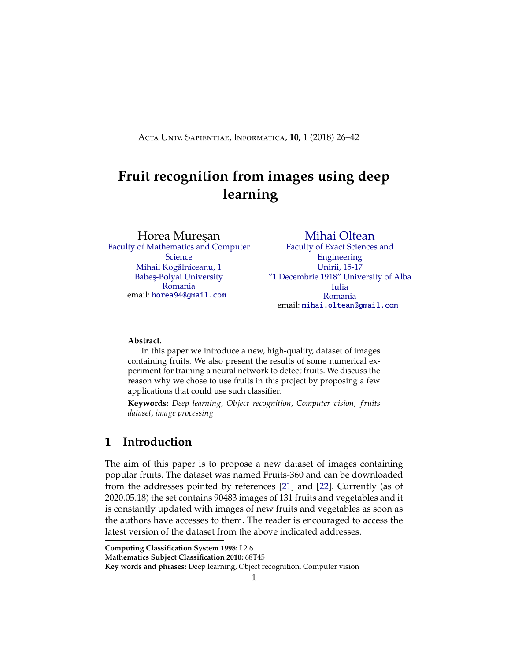<span id="page-25-0"></span>replacing all layers with convolutional ones is that there will be an increase in the number of parameters for the network [\[30\]](#page-37-10). Another possibility is to replace the rectified linear units with exponential linear units. According to paper [\[8\]](#page-35-10), this reduces computational complexity and add significantly better generalization performance than rectified linear units on networks with more that 5 layers. We would like to try out these practices and also to try to find new configurations that provide interesting results.

In the near future we plan to create a mobile application which takes pictures of fruits and labels them accordingly.

Another objective is to expand the data set to include more fruits. This is a more time consuming process since we want to include items that were not used in most others related papers.

# **Acknowledgments**

A preliminary version of this dataset with 25 fruits was presented during the Students Communication Session from Babes¸-Bolyai University, June 2017.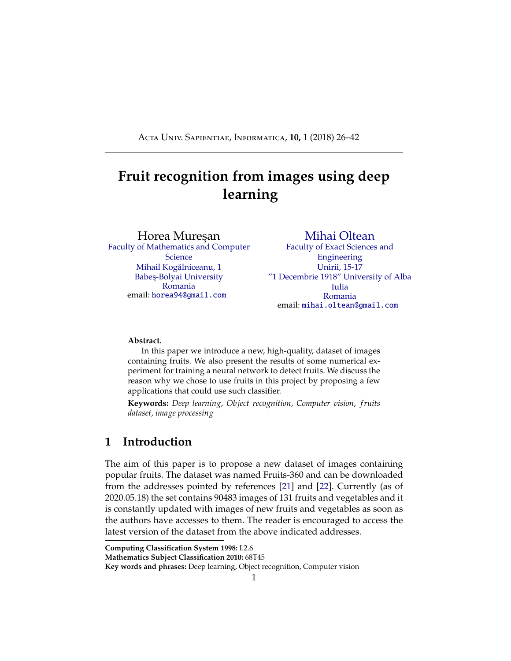# <span id="page-26-0"></span>**Appendix**

In this section we present the source code and project structure used in the numerical experiment described in this paper. The source code can be downloaded from GitHub [\[21\]](#page-36-0).

The source code is organized (on GitHub [\[21\]](#page-36-0)) as follows:

```
root directory
```

```
image classification
  Fruits-360 CNN.py
  labels.txt
Test
Training
```
In order to run the project from the command line, first make sure the PYTHONPATH system variable contains the path to the root directory.

Following, we will provide explanations for the code. We will begin with the definition of the general parameters and configurations of the project. The following are defined in the **Fruits-360 CNN.py** file:

*base dir* - the top level folder of the project

*test dir* - the folder with the Test images

*train dir* - the folder with the Training images

*labels file* - the path to the optional file that contains the used labels

*use label file*- boolean used to determine whether we train the network on all the classes(variable is set to false, default) or only on those specified in the *labels file*(variable set to true)

All these configurations can be changed to suit the setup of anyone using the code.

```
1 import matplotlib.pyplot as plt
2 import pandas as pd
3 import numpy as np
4 import seaborn as sn
5 import os
6 import tensorflow as tf
7 from sklearn.metrics import confusion_matrix ,
    classification_report
8
```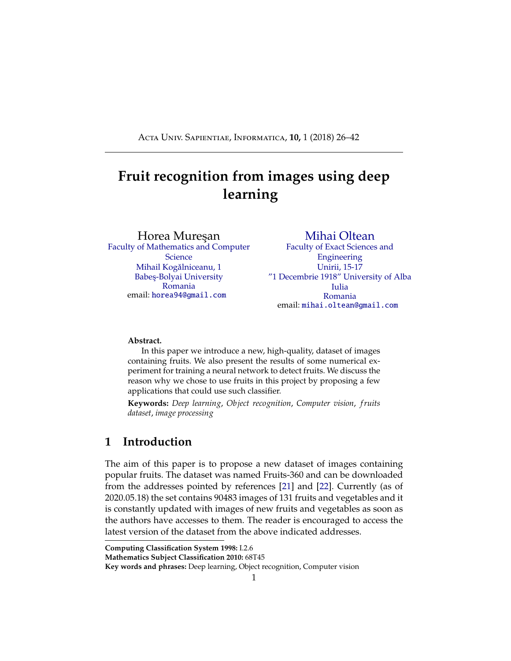```
9 from tensorflow.keras.models import Model
10 from tensorflow.keras.layers import Input, Dense,
     Conv2D , MaxPooling2D , Flatten , Activation , Dropout ,
      Lambda
11 from tensorflow.keras.optimizers import Adadelta
12 from tensorflow.keras.preprocessing.image import
     ImageDataGenerator
13 from tensorflow.keras.callbacks import
     ReduceLROnPlateau , ModelCheckpoint
14
15 ##############################################
16 learning_rate = 0.1 # initial learning rate
17 min_learning_rate = 0.00001 # once the learning rate
     reaches this value , do not decrease it further
18 learning_rate_reduction_factor = 0.5 # the factor
     used when reducing the learning rate ->
     learning_rate *= learning_rate_reduction_factor
19 patience = 3 # how many epochs to wait before
     reducing the learning rate when the loss plateaus
20 verbose = 1 # controls the amount of logging done
     during training and testing: 0 - none, 1 - reportsmetrics after each batch , 2 - reports metrics after
     each epoch
21 image_size = (100, 100) # width and height of the
     used images
22 input_shape = (100, 100, 3) # the expected input
     shape for the trained models; since the images in
     the Fruit -360 are 100 x 100 RGB images , this is the
      required input shape
23
24 use_label_file = False # set this to true if you want
      load the label names from a file; uses the
     label_file defined below; the file should contain
     the names of the used labels , each label on a
     separate line
25 label_file = 'labels.txt'
26 \text{ base\_dir} = \text{'}../..' # relative path to the Fruit-
     Images -Dataset folder
```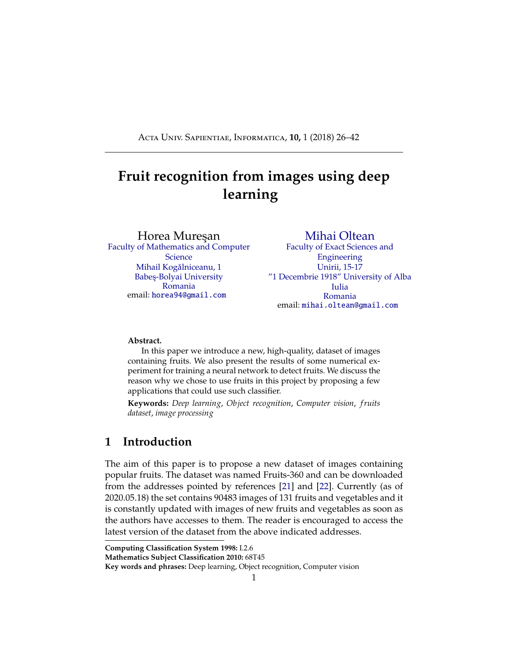```
27 test_dir = os.path.join(base_dir, 'Test')
28 train_dir = os.path.join(base_dir , 'Training ')
29 output_dir = 'output_files ' # root folder in which to
      save the the output files; the files will be under
      output_files/model_name
30 ##############################################
31
32 if not os.path.exists(output_dir):
33 os.makedirs(output_dir)
34
35 # if we want to train the network for a subset of the
     fruit classes instead of all, we can set the
     use_label_file to true and place in the label_file
     the classes we want to train for, one per line
36 if use_label_file:
37 with open(label_file , "r") as f:
38 labels = [x.strip() for x in f.readlines()]
39 else:
40 labels = os.listdir(train_dir)
41 num_classes = len(labels)
42
43
44 # create 2 charts, one for accuracy, one for loss, to
     show the evolution of these two metrics during the
     training process
45 def plot_model_history(model_history , out_path=""):
46 fig, axs = plt.subplots(1, 2, figsize=(15, 5))
47 # summarize history for accuracy
48 axs[0].plot(range(1, len(model_history.history['
         acc ']) + 1), model_history.history['acc '])
49 axs[0].set_title('Model Accuracy ')
50 axs[0].set_ylabel('Accuracy ')
51 axs[0].set_xlabel('Epoch ')
52 axs[0].set_xticks(np.arange(1, len(model_history.
        history['acc ']) + 1), len(model_history.history
         ['acc ']))
53 axs[0].legend(['train '], loc='best ')
54 # summarize history for loss
```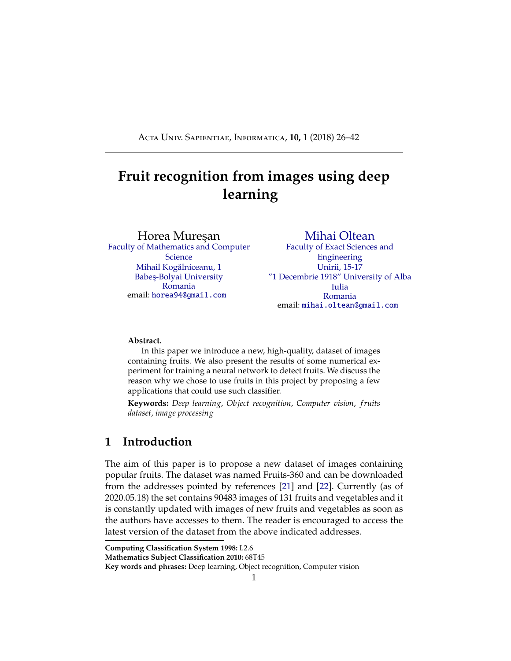```
55 axs[1].plot(range(1, len(model_history.history['
        loss ']) + 1), model_history.history['loss '])
56 axs[1].set_title('Model Loss ')
57 axs[1].set_ylabel('Loss ')
58 axs[1].set_xlabel('Epoch ')
59 axs[1].set_xticks(np.arange(1, len(model_history.
        history['loss']) + 1), len(model_history.
        history['loss']))
60 axs[1].legend(['train'], loc='best')61 # save the graph in a file called "acc.png" to be
         available for later; the model_name is provided
         when creating and training a model
62 if out_path:
63 plt.savefig(out_path + "/acc.png")
64 plt.show()
65
66
67 # create a confusion matrix to visually represent
     incorrectly classified images
68 def plot_confusion_matrix(y_true , y_pred , classes ,
     out_path=""):
69 cm = confusion_matrix(y_true, y_pred)
\pi df_cm = pd.DataFrame(cm, index=[i for i in classes
        ], columns=[i for i in classes])
71 plt.figure(figsize=(40 , 40))
72 ax = sn.heatmap(df_cm, annot=True, square=True,
         fmt="d", linewidths=.2, cbar_kws={"shrink":
         0.8})
73 if out_path:
74 plt.savefig(out_path + "/ confusion_matrix .png"
            ) # as in the plot_model_history , the
            matrix is saved in a file called "
            model_name_confusion_matrix.png"
75 return ax
76
77
78 # Randomly changes hue and saturation of the image to
```
simulate variable lighting conditions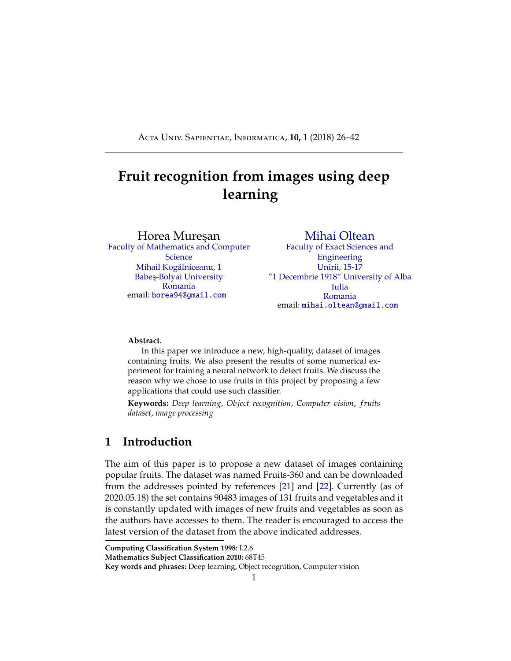```
79 def augment_image(x):
80 \text{ x = tf. image.random\_saturation(x, 0.9, 1.2)}81 x = tf.image.random_hue(x, 0.02)
82 return x
83
84
85 # given the train and test folder paths and a
    validation to test ratio , this method creates three
     generators
86 # - the training generator uses (100 -
    validation_percent) of images from the train set
87 # it applies random horizontal and vertical flips
     for data augmentation and generates batches
    randomly
88 # - the validation generator uses the remaining
    validation_percent of images from the train set
89 # does not generate random batches , as the model is
     not trained on this data
90 # the accuracy and loss are monitored using the
    validation data so that the learning rate can be
    updated if the model hits a local optimum
91 # - the test generator uses the test set without any
    form of augmentation
92 \# once the training process is done, the final
    values of accuracy and loss are calculated on this
    set
93 def build_data_generators(train_folder , test_folder ,
    labels=None , image_size=(100 , 100) , batch_size=50):
94 train_datagen = ImageDataGenerator(
        width_shift_range=0.0 , height_shift_range=0.0 ,
         zoom_range=0.0 , horizontal_flip=True ,
        vertical_flip=True , preprocessing_function=
         augment_image) # augmentation is done only on
         the train set (and optionally validation)
95
96 test_datagen = ImageDataGenerator()
97
98 train_gen = train_datagen.flow_from_directory(
```

```
31
```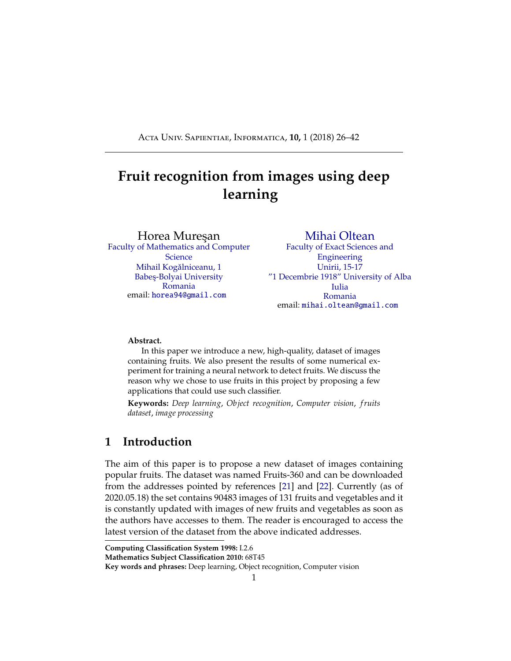```
train_folder , target_size=image_size ,
         class_mode='sparse ', batch_size=batch_size ,
         shuffle=True , subset='training ', classes=labels
         )
99 test_gen = test_datagen.flow_from_directory(
         test_folder , target_size=image_size , class_mode
         ='sparse ', batch_size=batch_size , shuffle=False
         , subset=None , classes=labels)
100 return train_gen , test_gen
101
102
103 # Create a custom layer that converts the original
     image from
104 # RGB to HSV and grayscale and concatenates the
     results
105 # forming in input of size 100 x 100 x 4
106 def convert_to_hsv_and_grayscale(x):
_{107} hsv = tf.image.rgb_to_hsv(x)
108 gray = tf.image.rgb_to_grayscale(x)
109 rez = tf.concat([hsv, gray], axis=-1)
110 return rez
111
112
113 def network(input_shape , num_classes):
114 img_input = Input(shape=input_shape , name='data ')
115 x = Lambda(convert_to_hsv_and_grayscale)(img_input
         \lambda116 x = Conv2D(16, (5, 5), strides=(1, 1), padding='
         same', name='conv1')(x)
117 x = Activation ('relu', name='conv1_relu')(x)
118 x = MaxPooling2D((2, 2), strides=(2, 2), padding='
         valid', name='pool1')(x)
119 x = Conv2D(32, (5, 5), strides=(1, 1), padding='
         same', name='conv2') (x)120 x = Activation('relu', name='conv2_relu')(x)
121 x = MaxPooling2D((2, 2), strides=(2, 2), padding='
         valid', name='pool2') (x)x = Conv2D(64, (5, 5), strides=(1, 1), padding=')
```

```
32
```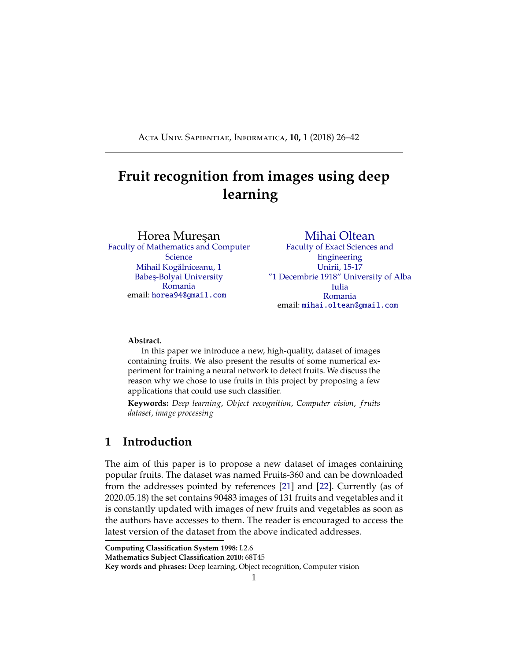```
same', name='conv3')(x)
123 x = Activation('relu ', name='conv3_relu ')(x)
124 x = MaxPooling2D((2, 2), strides=(2, 2), padding='
         valid', name='pool3')(x)125 x = Conv2D(128, (5, 5), strides=(1, 1), padding='
         same', name='conv4') (x)126 x = Activation('relu', name='conv4_relu')(x)
127 x = MaxPooling2D((2, 2), strides=(2, 2), padding='
         valid', name='pool4') (x)128 x = Flatten()(x)
129 x = Dense(1024, activation='relu', name='fcl1')(x)
130 x = Dropout (0.2)(x)131 x = Dense(256, activation='relu', name='fcl2')(x)
132 x = Dropout (0.2)(x)133 out = Dense(num_classes , activation='softmax ',
         name='predictions ')(x)
134 rez = Model(inputs=img_input , outputs=out)
135 return rez
136
137
138 # this method performs all the steps from data setup ,
     training and testing the model and plotting the
     results
139 # the model is any trainable model; the input shape
     and output number of classes is dependant on the
     dataset used, in this case the input is 100x100 RGB
      images and the output is a softmax layer with 118
     probabilities
140 # the name is used to save the classification report
     containing the f1 score of the model , the plots
     showing the loss and accuracy and the confusion
     matrix
141 # the batch size is used to determine the number of
     images passed through the network at once , the
     number of steps per epochs is derived from this as
     (total number of images in set // batch size) + 1
142 def train_and_evaluate_model(model , name="", epochs
     =25, batch_size=50, verbose=verbose , useCkpt=False)
```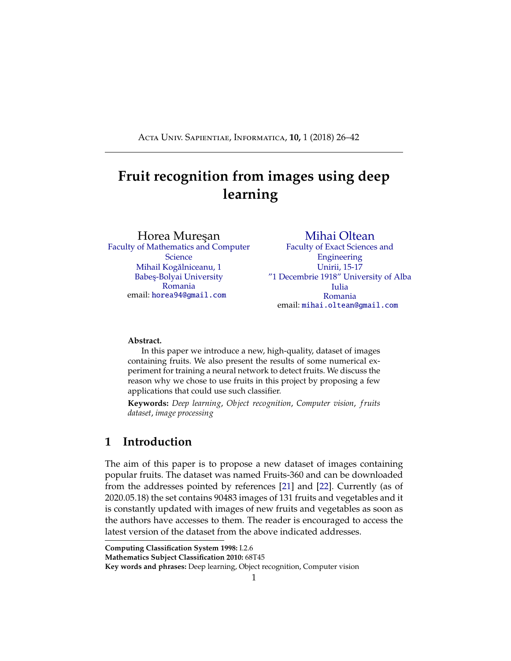```
:
143 print(model.summary())
144 model_out_dir = os.path.join(output_dir , name)
145 if not os.path.exists(model_out_dir):
146 os.makedirs(model_out_dir)
147 if useCkpt:
148 model.load_weights(model_out_dir + "/model.h5"
            )
149
150 trainGen , testGen = build_data_generators(
        train_dir , test_dir , labels=labels , image_size=
        image_size , batch_size=batch_size)
_{151} optimizer = Adadelta(lr=learning_rate)
152 model.compile(optimizer=optimizer , loss="
        sparse_categorical_crossentropy ", metrics=["acc
        "])
153 learning_rate_reduction = ReduceLROnPlateau(
        monitor='loss ', patience=patience , verbose=
        verbose ,
154 factor
                                                  =
                                                  learning_rate_reduction
                                                  ,
                                                  min_lr
                                                  =
                                                  min_learning_rate
                                                  \lambda155 save_model = ModelCheckpoint (filepath=
        model_out_dir + "/model.h5", monitor='loss ',
        verbose=verbose ,
156 save_best_only=True,
                                    save_weights_only=
                                   False, mode='min',
                                     save_freq='epoch '
                                   )
157
```

```
158 history = model.fit(trainGen , epochs=epochs ,
         steps_per_epoch=(trainGen.n // batch_size) + 1,
```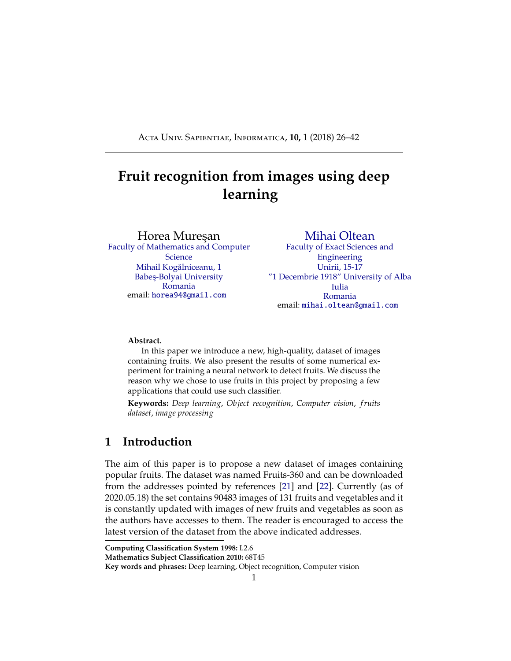```
verbose=verbose , callbacks=[
         learning_rate_reduction , save_model])
159
160 model.load_weights(model_out_dir + "/model.h5")
161
162 trainGen.reset()
163 loss_t, accuracy_t = model.evaluate(trainGen,
         steps=(trainGen.n // batch_size) + 1, verbose=
         verbose)
164 loss , accuracy = model.evaluate(testGen , steps=(
         testGen.n // batch_size) + 1, verbose=verbose)
_{165} print ("Train: accuracy = %f; loss_v = %f" % (
         accuracy_t , loss_t))
166 print("Test: accuracy = %f ; loss_v = %f" % (
         accuracy , loss))
167 plot_model_history(history , out_path=model_out_dir
         )
168 testGen.reset()
169 y_pred = model.predict(testGen , steps=(testGen.n
         // batch_size) + 1, verbose=verbose)
170 y_true = testGen.classes[testGen.index_array]
171 plot_confusion_matrix(y_true , y_pred.argmax(axis
         =-1), labels , out_path=model_out_dir)
172 class_report = classification_report(y_true,
         y_pred.argmax(axis=-1), target_names=labels)
173
174 with open(model_out_dir + "/ classification_report .
         txt", "w") as text_file:
175 text_file.write("%s" % class_report)
176
177
178 print(labels)
179 print(num_classes)
180 model = network(input_shape=input_shape , num_classes=
     num_classes)
181 train_and_evaluate_model(model , name="fruit -360 model"
     )
```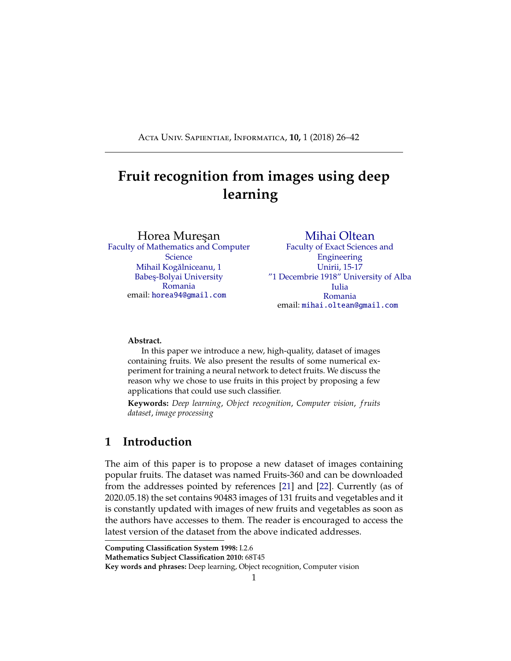### **References**

- <span id="page-35-0"></span>[1] BARGOTI, S., AND UNDERWOOD, J. Deep fruit detection in orchards. In *2017 IEEE International Conference on Robotics and Automation (ICRA)*  $(May 2017)$ , pp. 3626–3633. ) [4](#page-3-0)
- <span id="page-35-2"></span>[2] BARTH, R., IJSSELMUIDEN, J., HEMMING, J., AND HENTEN, E. V. Data synthesis methods for semantic segmentation in agriculture: A capsicum annuum dataset. *Computers and Electronics in Agriculture 144* (2018),  $284 - 296.$  $284 - 296.$  $284 - 296.$  4
- <span id="page-35-5"></span>[3] Chan, T. F., and Vese, L. A. Active contours without edges. *IEEE Transactions on Image Processing 10*, 2 (Feb 2001), 266–277. )[5](#page-4-0)
- <span id="page-35-3"></span>[4] CHENG, H., DAMEROW, L., SUN, Y., AND BLANKE, M. Early yield prediction using image analysis of apple fruit and tree canopy features with neural networks. *Journal of Imaging 3*, 1 (2017). )[4](#page-3-0)
- <span id="page-35-7"></span>[5] CIREŞAN, D. C., GIUSTI, A., GAMBARDELLA, L. M., AND SCHMIDHUBER, J. Deep neural networks segment neuronal membranes in electron microscopy images. In *Proceedings of the 25th International Conference on Neural Information Processing Systems - Volume 2* (USA, 2012), NIPS'12, Curran Associates Inc., pp. 2843–28[5](#page-4-0)1. ) 5
- <span id="page-35-6"></span>[6] CIREŞAN, D. C., MEIER, U., MASCI, J., GAMBARDELLA, L. M., AND SCHMIDhuber, J. Flexible, high performance convolutional neural networks for image classification. In *Proceedings of the Twenty-Second International Joint Conference on Artificial Intelligence - Volume Volume Two* (2011), IJCAI'11, AAAI Press, pp. 1237–1242.  $\binom{5}{3}$  $\binom{5}{3}$  $\binom{5}{3}$
- <span id="page-35-8"></span>[7] CIRESAN, D. C., MEIER, U., AND SCHMIDHUBER, J. Multi-column deep neural networks for image classification. *CoRR abs*/*1202.2745* (2012). )[6](#page-5-0)
- <span id="page-35-10"></span>[8] Clevert, D., Unterthiner, T., and Hochreiter, S. Fast and accurate deep network learning by exponential linear units (elus). *CoRR abs* $|1511.07289(2015)$ . [26](#page-25-0)
- <span id="page-35-9"></span>[9] Hannun, A. Y., Case, C., Casper, J., Catanzaro, B., Diamos, G., Elsen, E., Prenger, R., Satheesh, S., Sengupta, S., Coates, A., and Ng, A. Y. Deep speech: Scaling up end-to-end speech recognition. *CoRR abs* $/1412.5567$  (2014). ) [15](#page-14-0)
- <span id="page-35-4"></span>[10] Hemming, J., Ruizendaal, J., Hofstee, J. W., and van Henten, E. J. Fruit detectability analysis for di erent camera positions in sweet-pepper. *Sensors* 1[4](#page-3-0), 4 (2014), 6032–6044. 1
- <span id="page-35-1"></span>[11] Kapach, K., Barnea, E., Mairon, R., Edan, Y., and Ben-Shahar, O. Computer vision for fruit harvesting robots  $&\#150$ ; state of the art and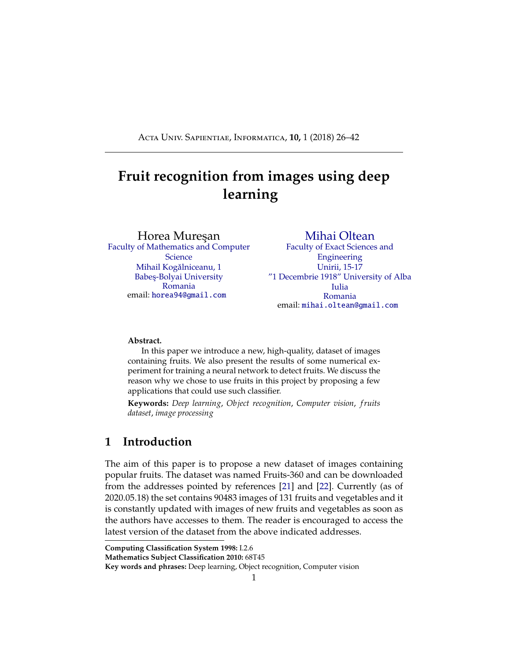challenges ahead. *Int. J. Comput. Vision Robot. 3*, 1/2 (Apr. 2012), 4–34. )[4](#page-3-0)

- <span id="page-36-13"></span>[12] KERAS. Keras. [Online; accessed 19.05.2020]. ) [15](#page-14-0)
- <span id="page-36-2"></span>[13] KRIZHEVSKY, A., NAIR, V., AND HINTON, G. The cifar dataset. [Online; accessed 19.05.2020]. ) [2,](#page-1-0) [6](#page-5-0)
- <span id="page-36-10"></span>[14] LECUN, Y., CORTES, C., AND BURGES, C. J. The mnist database of hand-written digits. [Online; accessed 19.05.2020]. ) [6](#page-5-0)
- <span id="page-36-12"></span>[15] LEE, H., GROSSE, R., RANGANATH, R., AND NG, A. Y. Convolutional deep belief networks for scalable unsupervised learning of hierarchical representations. In *Proceedings of the 26th Annual International Conference on Machine Learning* (New York, NY, USA, 2009), ICML '09, ACM, pp.  $609-616.$ ) [8](#page-7-0)
- <span id="page-36-7"></span>[16] Li, D., Zhao, H., Zhao, X., Gao, Q., and Xu, L. Cucumber detection based on texture and color in greenhouse. *International Journal of Pattern Recognition and Artificial Intelligence 31* (01 2017). )[4](#page-3-0)
- <span id="page-36-11"></span>[17] LIANG, M., AND HU, X. Recurrent convolutional neural network for object recognition. In *2015 IEEE Conference on Computer Vision and Pattern Recognition (CVPR)* (June 2015), pp. 3367-3375. ) [6,](#page-5-0) [8](#page-7-0)
- <span id="page-36-9"></span>[18] Mumford, D., and Shah, J. Optimal approximations by piecewise smooth functions and associated variational problems. *Communications on Pure and Applied Mathematics 42*, 5 (1989), 577–685. )[5](#page-4-0)
- <span id="page-36-8"></span>[19] Ninawe, P., and Pandey, M. S. A completion on fruit recognition system using k-nearest neighbors algorithm. In *International Journal of Advanced Research in Computer Engineering & Technology (IJARCET)*  $(2014)$ , vol. 3.  $\binom{5}{3}$  $\binom{5}{3}$  $\binom{5}{3}$
- <span id="page-36-3"></span>[20] O'BoyLE, B., AND HALL, C. What is google lens and how do you use it? [Online; accessed 19.05.[2](#page-1-0)020]. ) 2
- <span id="page-36-0"></span>[21] Oltean, M., and Muresan, H. Fruits 360 dataset on github. [Online; accessed 19.05.2020]. ) [1,](#page-0-0) [10,](#page-9-1) [27](#page-26-0)
- <span id="page-36-1"></span>[22] OLTEAN, M., AND MURESAN, H. Fruits 360 dataset on kaggle. [Online; accessed 19.05.2020]. ) [1,](#page-0-0) [10](#page-9-1)
- <span id="page-36-5"></span>[23] PUTTEMANS, S., VANBRABANT, Y., TITS, L., AND GOEDEM, T. Automated visual fruit detection for harvest estimation and robotic harvesting. In *2016 Sixth International Conference on Image Processing Theory, Tools and Applications (IPTA)* (Dec 2016), pp. 1–6. ) [4](#page-3-0)
- <span id="page-36-6"></span>[24] Rahnemoonfar, M., and Sheppard, C. Deep count: Fruit counting based on deep simulated learning. *Sensors 17*, 4 (2017). )[4](#page-3-0)
- <span id="page-36-4"></span>[25] REN, S., HE, K., GIRSHICK, R. B., AND SUN, J. Faster R-CNN: to-